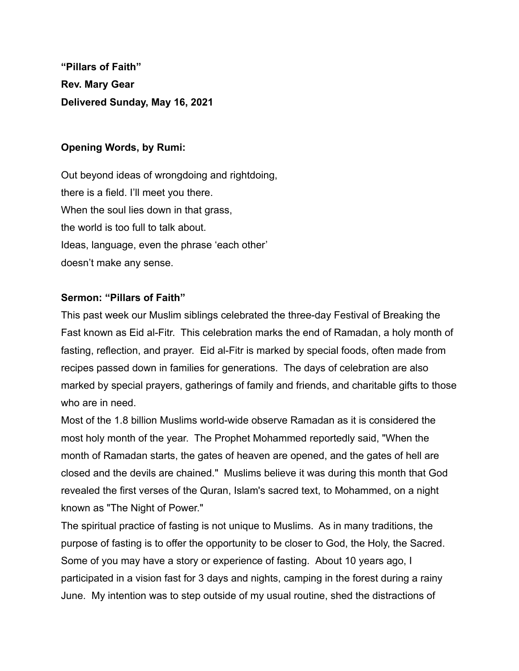**"Pillars of Faith" Rev. Mary Gear Delivered Sunday, May 16, 2021**

## **Opening Words, by Rumi:**

Out beyond ideas of wrongdoing and rightdoing, there is a field. I'll meet you there. When the soul lies down in that grass, the world is too full to talk about. Ideas, language, even the phrase 'each other' doesn't make any sense.

## **Sermon: "Pillars of Faith"**

This past week our Muslim siblings celebrated the three-day Festival of Breaking the Fast known as Eid al-Fitr. This celebration marks the end of Ramadan, a holy month of fasting, reflection, and prayer. Eid al-Fitr is marked by special foods, often made from recipes passed down in families for generations. The days of celebration are also marked by special prayers, gatherings of family and friends, and charitable gifts to those who are in need.

Most of the 1.8 billion Muslims world-wide observe Ramadan as it is considered the most holy month of the year. The Prophet Mohammed reportedly said, "When the month of Ramadan starts, the gates of heaven are opened, and the gates of hell are closed and the devils are chained." Muslims believe it was during this month that God revealed the first verses of the Quran, Islam's sacred text, to Mohammed, on a night known as "The Night of Power."

The spiritual practice of fasting is not unique to Muslims. As in many traditions, the purpose of fasting is to offer the opportunity to be closer to God, the Holy, the Sacred. Some of you may have a story or experience of fasting. About 10 years ago, I participated in a vision fast for 3 days and nights, camping in the forest during a rainy June. My intention was to step outside of my usual routine, shed the distractions of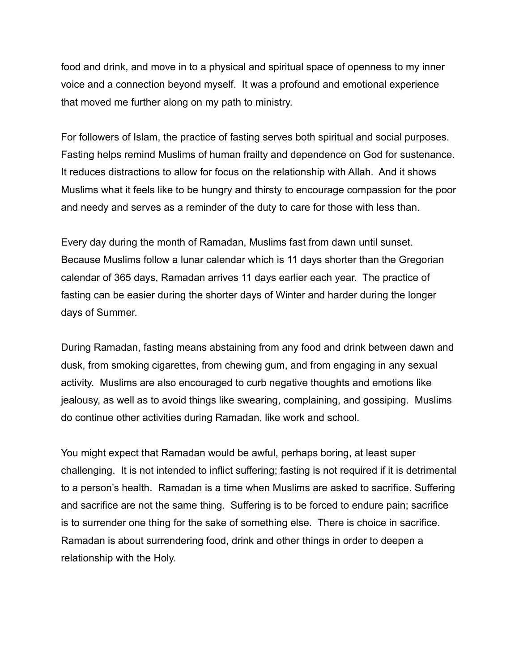food and drink, and move in to a physical and spiritual space of openness to my inner voice and a connection beyond myself. It was a profound and emotional experience that moved me further along on my path to ministry.

For followers of Islam, the practice of fasting serves both spiritual and social purposes. Fasting helps remind Muslims of human frailty and dependence on God for sustenance. It reduces distractions to allow for focus on the relationship with Allah. And it shows Muslims what it feels like to be hungry and thirsty to encourage compassion for the poor and needy and serves as a reminder of the duty to care for those with less than.

Every day during the month of Ramadan, Muslims fast from dawn until sunset. Because Muslims follow a lunar calendar which is 11 days shorter than the Gregorian calendar of 365 days, Ramadan arrives 11 days earlier each year. The practice of fasting can be easier during the shorter days of Winter and harder during the longer days of Summer.

During Ramadan, fasting means abstaining from any food and drink between dawn and dusk, from smoking cigarettes, from chewing gum, and from engaging in any sexual activity. Muslims are also encouraged to curb negative thoughts and emotions like jealousy, as well as to avoid things like swearing, complaining, and gossiping. Muslims do continue other activities during Ramadan, like work and school.

You might expect that Ramadan would be awful, perhaps boring, at least super challenging. It is not intended to inflict suffering; fasting is not required if it is detrimental to a person's health. Ramadan is a time when Muslims are asked to sacrifice. Suffering and sacrifice are not the same thing. Suffering is to be forced to endure pain; sacrifice is to surrender one thing for the sake of something else. There is choice in sacrifice. Ramadan is about surrendering food, drink and other things in order to deepen a relationship with the Holy.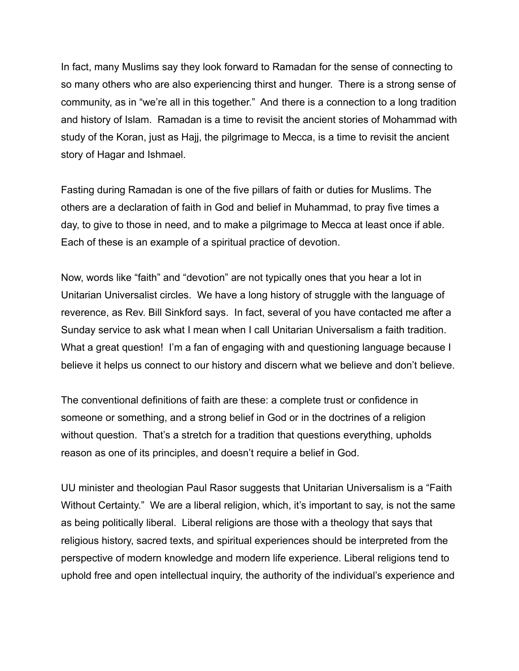In fact, many Muslims say they look forward to Ramadan for the sense of connecting to so many others who are also experiencing thirst and hunger. There is a strong sense of community, as in "we're all in this together." And there is a connection to a long tradition and history of Islam. Ramadan is a time to revisit the ancient stories of Mohammad with study of the Koran, just as Hajj, the pilgrimage to Mecca, is a time to revisit the ancient story of Hagar and Ishmael.

Fasting during Ramadan is one of the five pillars of faith or duties for Muslims. The others are a declaration of faith in God and belief in Muhammad, to pray five times a day, to give to those in need, and to make a pilgrimage to Mecca at least once if able. Each of these is an example of a spiritual practice of devotion.

Now, words like "faith" and "devotion" are not typically ones that you hear a lot in Unitarian Universalist circles. We have a long history of struggle with the language of reverence, as Rev. Bill Sinkford says. In fact, several of you have contacted me after a Sunday service to ask what I mean when I call Unitarian Universalism a faith tradition. What a great question! I'm a fan of engaging with and questioning language because I believe it helps us connect to our history and discern what we believe and don't believe.

The conventional definitions of faith are these: a complete trust or confidence in someone or something, and a strong belief in God or in the doctrines of a religion without question. That's a stretch for a tradition that questions everything, upholds reason as one of its principles, and doesn't require a belief in God.

UU minister and theologian Paul Rasor suggests that Unitarian Universalism is a "Faith Without Certainty." We are a liberal religion, which, it's important to say, is not the same as being politically liberal. Liberal religions are those with a theology that says that religious history, sacred texts, and spiritual experiences should be interpreted from the perspective of modern knowledge and modern life experience. Liberal religions tend to uphold free and open intellectual inquiry, the authority of the individual's experience and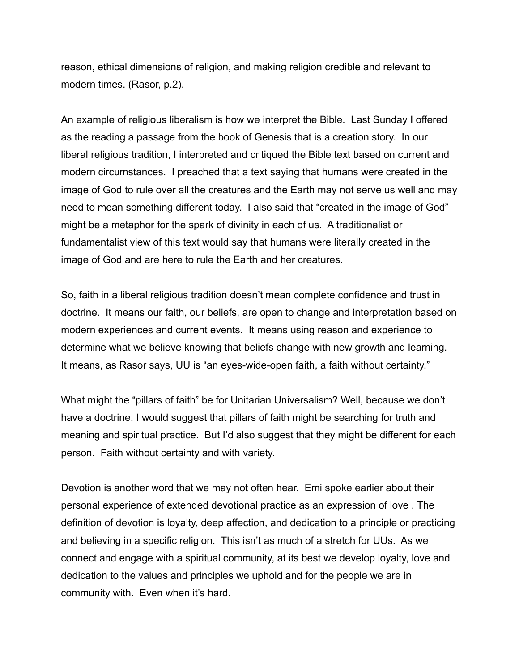reason, ethical dimensions of religion, and making religion credible and relevant to modern times. (Rasor, p.2).

An example of religious liberalism is how we interpret the Bible. Last Sunday I offered as the reading a passage from the book of Genesis that is a creation story. In our liberal religious tradition, I interpreted and critiqued the Bible text based on current and modern circumstances. I preached that a text saying that humans were created in the image of God to rule over all the creatures and the Earth may not serve us well and may need to mean something different today. I also said that "created in the image of God" might be a metaphor for the spark of divinity in each of us. A traditionalist or fundamentalist view of this text would say that humans were literally created in the image of God and are here to rule the Earth and her creatures.

So, faith in a liberal religious tradition doesn't mean complete confidence and trust in doctrine. It means our faith, our beliefs, are open to change and interpretation based on modern experiences and current events. It means using reason and experience to determine what we believe knowing that beliefs change with new growth and learning. It means, as Rasor says, UU is "an eyes-wide-open faith, a faith without certainty."

What might the "pillars of faith" be for Unitarian Universalism? Well, because we don't have a doctrine, I would suggest that pillars of faith might be searching for truth and meaning and spiritual practice. But I'd also suggest that they might be different for each person. Faith without certainty and with variety.

Devotion is another word that we may not often hear. Emi spoke earlier about their personal experience of extended devotional practice as an expression of love . The definition of devotion is loyalty, deep affection, and dedication to a principle or practicing and believing in a specific religion. This isn't as much of a stretch for UUs. As we connect and engage with a spiritual community, at its best we develop loyalty, love and dedication to the values and principles we uphold and for the people we are in community with. Even when it's hard.